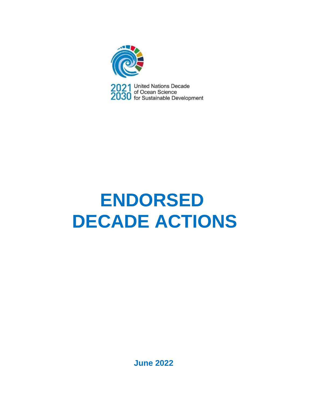

2021 United Nations Decade<br>2030 of Ocean Science<br>2030 for Sustainable Development

# **ENDORSED DECADE ACTIONS**

**June 2022**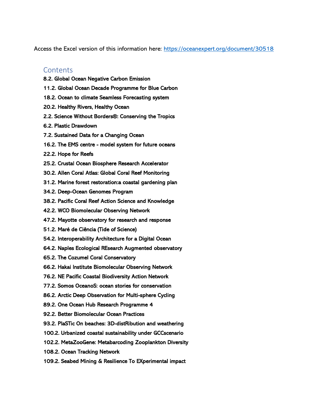Access the Excel version of this information here:<https://oceanexpert.org/document/30518>

#### **Contents**

- [8.2. Global Ocean Negative Carbon Emission](#page-4-0)
- [11.2. Global Ocean Decade Programme for Blue Carbon](#page-5-0)
- [18.2. Ocean to climate Seamless Forecasting system](#page-6-0)
- [20.2. Healthy Rivers, Healthy Ocean](#page-7-0)
- [2.2. Science Without Borders®: Conserving the Tropics](#page-8-0)
- [6.2. Plastic Drawdown](#page-9-0)
- [7.2. Sustained Data for a Changing Ocean](#page-10-0)
- [16.2. The EMS centre model system for future oceans](#page-11-0)
- [22.2. Hope for Reefs](#page-12-0)
- [25.2. Crustal Ocean Biosphere Research Accelerator](#page-13-0)
- [30.2. Allen Coral Atlas: Global Coral Reef Monitoring](#page-14-0)
- [31.2. Marine forest restoration:a coastal gardening plan](#page-15-0)
- [34.2. Deep-Ocean Genomes Program](#page-16-0)
- [38.2. Pacific Coral Reef Action Science and Knowledge](#page-17-0)
- [42.2. WCO Biomolecular Observing Network](#page-18-0)
- [47.2. Mayotte observatory for research and response](#page-19-0)
- [51.2. Maré de Ciência \(Tide of Science\)](#page-20-0)
- [54.2. Interoperability Architecture for a Digital Ocean](#page-21-0)
- [64.2. Naples Ecological REsearch Augmented observatory](#page-22-0)
- [65.2. The Cozumel Coral Conservatory](#page-23-0)
- [66.2. Hakai Institute Biomolecular Observing Network](#page-24-0)
- [76.2. NE Pacific Coastal Biodiversity Action Network](#page-25-0)
- [77.2. Somos OceanoS: ocean stories for conservation](#page-26-0)
- [86.2. Arctic Deep Observation for Multi-sphere Cycling](#page-27-0)
- [89.2. One Ocean Hub Research Programme 4](#page-28-0)
- [92.2. Better Biomolecular Ocean Practices](#page-29-0)
- [93.2. PlaSTic On beaches: 3D-distRibution and weathering](#page-30-0)
- [100.2. Urbanized coastal sustainability under GCCscenario](#page-31-0)
- [102.2. MetaZooGene: Metabarcoding Zooplankton Diversity](#page-32-0)
- [108.2. Ocean Tracking Network](#page-33-0)
- [109.2. Seabed Mining & Resilience To EXperimental impact](#page-34-0)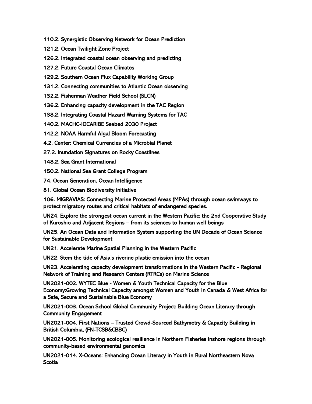- [110.2. Synergistic Observing Network for Ocean Prediction](#page-35-0)
- [121.2. Ocean Twilight Zone Project](#page-36-0)
- [126.2. Integrated coastal ocean observing and predicting](#page-37-0)
- [127.2. Future Coastal Ocean Climates](#page-38-0)
- [129.2. Southern Ocean Flux Capability Working Group](#page-39-0)
- [131.2. Connecting communities to Atlantic Ocean observing](#page-40-0)
- [132.2. Fisherman Weather Field School \(SLCN\)](#page-41-0)
- [136.2. Enhancing capacity development in the TAC Region](#page-42-0)
- [138.2. Integrating Coastal Hazard Warning Systems for TAC](#page-43-0)
- [140.2. MACHC-IOCARIBE Seabed 2030 Project](#page-44-0)
- [142.2. NOAA Harmful Algal Bloom Forecasting](#page-45-0)
- [4.2. Center: Chemical Currencies of a Microbial Planet](#page-46-0)
- [27.2. Inundation Signatures on Rocky Coastlines](#page-47-0)
- [148.2. Sea Grant International](#page-48-0)
- [150.2. National Sea Grant College Program](#page-49-0)
- [74. Ocean Generation, Ocean Intelligence](#page-50-0)
- [81. Global Ocean Biodiversity Initiative](#page-51-0)

[106. MIGRAVIAS: Connecting Marine Protected Areas \(MPAs\) through ocean swimways to](#page-52-0)  [protect migratory routes and critical habitats of endangered species.](#page-52-0)

[UN24. Explore the strongest ocean current in the Western Pacific: the 2nd Cooperative Study](#page-53-0)  of Kuroshio and Adjacent Regions – [from its sciences to human well beings](#page-53-0)

[UN25. An Ocean Data and Information System supporting the UN Decade of Ocean Science](#page-54-0)  [for Sustainable Development](#page-54-0)

[UN21. Accelerate Marine Spatial Planning in the Western Pacific](#page-55-0)

[UN22. Stem the tide of Asia's riverine plastic](#page-56-0) emission into the ocean

[UN23. Accelerating capacity development transformations in the Western Pacific - Regional](#page-57-0)  [Network of Training and Research Centers \(RTRCs\) on Marine Science](#page-57-0)

[UN2021-002. WYTEC Blue - Women & Youth Technical Capacity for the Blue](#page-58-0)  [Economy:Growing Technical Capacity amongst Women and Youth in Canada & West Africa for](#page-58-0)  [a Safe, Secure and Sustainable Blue Economy](#page-58-0)

[UN2021-003. Ocean School Global Community Project: Building Ocean Literacy through](#page-59-0)  [Community Engagement](#page-59-0)

UN2021-004. First Nations – [Trusted Crowd-Sourced Bathymetry & Capacity Building in](#page-60-0)  [British Columbia, \(FN-TCSB&CBBC\)](#page-60-0)

[UN2021-005. Monitoring ecological resilience in Northern Fisheries inshore regions through](#page-61-0)  [community-based environmental genomics](#page-61-0)

[UN2021-014. X-Oceans: Enhancing Ocean Literacy in Youth in Rural Northeastern Nova](#page-62-0)  **[Scotia](#page-62-0)**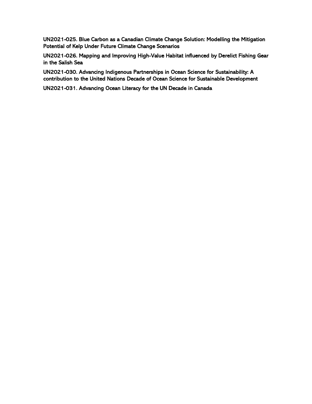[UN2021-025. Blue Carbon as a Canadian Climate Change Solution: Modelling the Mitigation](#page-63-0)  [Potential of Kelp Under Future Climate Change Scenarios](#page-63-0)

[UN2021-026. Mapping and Improving High-Value Habitat influenced by Derelict Fishing Gear](#page-64-0)  [in the Salish Sea](#page-64-0)

[UN2021-030. Advancing Indigenous Partnerships in Ocean Science for Sustainability: A](#page-65-0)  [contribution to the United Nations Decade of Ocean Science for Sustainable Development](#page-65-0)

[UN2021-031. Advancing Ocean Literacy for the UN Decade in Canada](#page-66-0)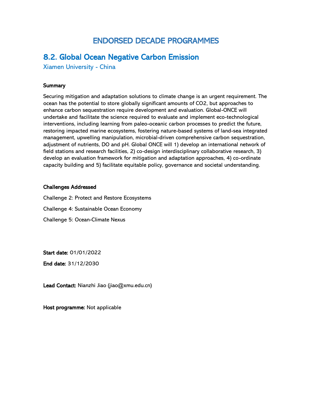# ENDORSED DECADE PROGRAMMES

### <span id="page-4-0"></span>8.2. Global Ocean Negative Carbon Emission

Xiamen University - China

#### **Summary**

Securing mitigation and adaptation solutions to climate change is an urgent requirement. The ocean has the potential to store globally significant amounts of CO2, but approaches to enhance carbon sequestration require development and evaluation. Global-ONCE will undertake and facilitate the science required to evaluate and implement eco-technological interventions, including learning from paleo-oceanic carbon processes to predict the future, restoring impacted marine ecosystems, fostering nature-based systems of land-sea integrated management, upwelling manipulation, microbial-driven comprehensive carbon sequestration, adjustment of nutrients, DO and pH. Global ONCE will 1) develop an international network of field stations and research facilities, 2) co-design interdisciplinary collaborative research, 3) develop an evaluation framework for mitigation and adaptation approaches, 4) co-ordinate capacity building and 5) facilitate equitable policy, governance and societal understanding.

#### Challenges Addressed

Challenge 2: Protect and Restore Ecosystems Challenge 4: Sustainable Ocean Economy Challenge 5: Ocean-Climate Nexus

Start date: 01/01/2022

End date: 31/12/2030

Lead Contact: Nianzhi Jiao (jiao@xmu.edu.cn)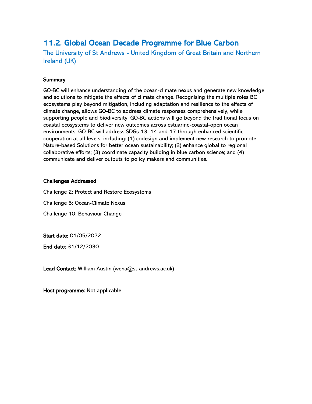# <span id="page-5-0"></span>11.2. Global Ocean Decade Programme for Blue Carbon

The University of St Andrews - United Kingdom of Great Britain and Northern Ireland (UK)

#### **Summary**

GO-BC will enhance understanding of the ocean-climate nexus and generate new knowledge and solutions to mitigate the effects of climate change. Recognising the multiple roles BC ecosystems play beyond mitigation, including adaptation and resilience to the effects of climate change, allows GO-BC to address climate responses comprehensively, while supporting people and biodiversity. GO-BC actions will go beyond the traditional focus on coastal ecosystems to deliver new outcomes across estuarine-coastal-open ocean environments. GO-BC will address SDGs 13, 14 and 17 through enhanced scientific cooperation at all levels, including: (1) codesign and implement new research to promote Nature-based Solutions for better ocean sustainability; (2) enhance global to regional collaborative efforts; (3) coordinate capacity building in blue carbon science; and (4) communicate and deliver outputs to policy makers and communities.

#### Challenges Addressed

Challenge 2: Protect and Restore Ecosystems

Challenge 5: Ocean-Climate Nexus

Challenge 10: Behaviour Change

Start date: 01/05/2022

End date: 31/12/2030

Lead Contact: William Austin (wena@st-andrews.ac.uk)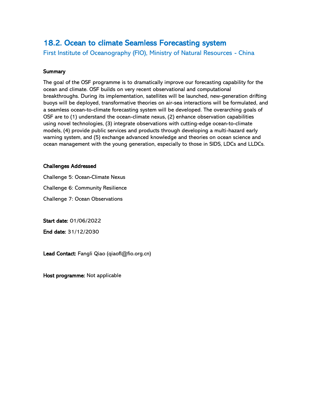### <span id="page-6-0"></span>18.2. Ocean to climate Seamless Forecasting system

First Institute of Oceanography (FIO), Ministry of Natural Resources - China

#### **Summary**

The goal of the OSF programme is to dramatically improve our forecasting capability for the ocean and climate. OSF builds on very recent observational and computational breakthroughs. During its implementation, satellites will be launched, new-generation drifting buoys will be deployed, transformative theories on air-sea interactions will be formulated, and a seamless ocean-to-climate forecasting system will be developed. The overarching goals of OSF are to (1) understand the ocean-climate nexus, (2) enhance observation capabilities using novel technologies, (3) integrate observations with cutting-edge ocean-to-climate models, (4) provide public services and products through developing a multi-hazard early warning system, and (5) exchange advanced knowledge and theories on ocean science and ocean management with the young generation, especially to those in SIDS, LDCs and LLDCs.

#### Challenges Addressed

Challenge 5: Ocean-Climate Nexus

Challenge 6: Community Resilience

Challenge 7: Ocean Observations

Start date: 01/06/2022

End date: 31/12/2030

Lead Contact: Fangli Qiao (qiaofl@fio.org.cn)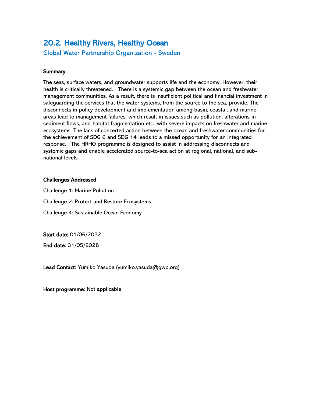# <span id="page-7-0"></span>20.2. Healthy Rivers, Healthy Ocean

Global Water Partnership Organization - Sweden

#### **Summary**

The seas, surface waters, and groundwater supports life and the economy. However, their health is critically threatened. There is a systemic gap between the ocean and freshwater management communities. As a result, there is insufficient political and financial investment in safeguarding the services that the water systems, from the source to the sea, provide. The disconnects in policy development and implementation among basin, coastal, and marine areas lead to management failures, which result in issues such as pollution, alterations in sediment flows, and habitat fragmentation etc., with severe impacts on freshwater and marine ecosystems. The lack of concerted action between the ocean and freshwater communities for the achievement of SDG 6 and SDG 14 leads to a missed opportunity for an integrated response. The HRHO programme is designed to assist in addressing disconnects and systemic gaps and enable accelerated source-to-sea action at regional, national, and subnational levels

#### Challenges Addressed

Challenge 1: Marine Pollution Challenge 2: Protect and Restore Ecosystems Challenge 4: Sustainable Ocean Economy

Start date: 01/06/2022

End date: 31/05/2028

Lead Contact: Yumiko Yasuda (yumiko.yasuda@gwp.org)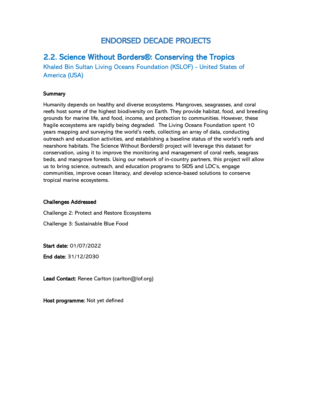# ENDORSED DECADE PROJECTS

### <span id="page-8-0"></span>2.2. Science Without Borders®: Conserving the Tropics

Khaled Bin Sultan Living Oceans Foundation (KSLOF) - United States of America (USA)

#### **Summary**

Humanity depends on healthy and diverse ecosystems. Mangroves, seagrasses, and coral reefs host some of the highest biodiversity on Earth. They provide habitat, food, and breeding grounds for marine life, and food, income, and protection to communities. However, these fragile ecosystems are rapidly being degraded. The Living Oceans Foundation spent 10 years mapping and surveying the world's reefs, collecting an array of data, conducting outreach and education activities, and establishing a baseline status of the world's reefs and nearshore habitats. The Science Without Borders® project will leverage this dataset for conservation, using it to improve the monitoring and management of coral reefs, seagrass beds, and mangrove forests. Using our network of in-country partners, this project will allow us to bring science, outreach, and education programs to SIDS and LDC's, engage communities, improve ocean literacy, and develop science-based solutions to conserve tropical marine ecosystems.

#### Challenges Addressed

Challenge 2: Protect and Restore Ecosystems

Challenge 3: Sustainable Blue Food

Start date: 01/07/2022

End date: 31/12/2030

Lead Contact: Renee Carlton (carlton@lof.org)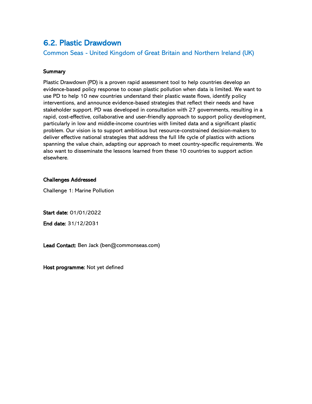### <span id="page-9-0"></span>6.2. Plastic Drawdown

Common Seas - United Kingdom of Great Britain and Northern Ireland (UK)

#### **Summary**

Plastic Drawdown (PD) is a proven rapid assessment tool to help countries develop an evidence-based policy response to ocean plastic pollution when data is limited. We want to use PD to help 10 new countries understand their plastic waste flows, identify policy interventions, and announce evidence-based strategies that reflect their needs and have stakeholder support. PD was developed in consultation with 27 governments, resulting in a rapid, cost-effective, collaborative and user-friendly approach to support policy development, particularly in low and middle-income countries with limited data and a significant plastic problem. Our vision is to support ambitious but resource-constrained decision-makers to deliver effective national strategies that address the full life cycle of plastics with actions spanning the value chain, adapting our approach to meet country-specific requirements. We also want to disseminate the lessons learned from these 10 countries to support action elsewhere.

#### Challenges Addressed

Challenge 1: Marine Pollution

Start date: 01/01/2022

End date: 31/12/2031

Lead Contact: Ben Jack (ben@commonseas.com)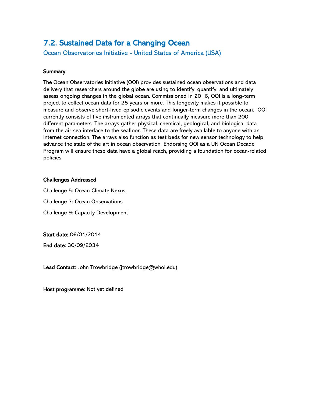# <span id="page-10-0"></span>7.2. Sustained Data for a Changing Ocean

Ocean Observatories Initiative - United States of America (USA)

#### **Summary**

The Ocean Observatories Initiative (OOI) provides sustained ocean observations and data delivery that researchers around the globe are using to identify, quantify, and ultimately assess ongoing changes in the global ocean. Commissioned in 2016, OOI is a long-term project to collect ocean data for 25 years or more. This longevity makes it possible to measure and observe short-lived episodic events and longer-term changes in the ocean. OOI currently consists of five instrumented arrays that continually measure more than 200 different parameters. The arrays gather physical, chemical, geological, and biological data from the air-sea interface to the seafloor. These data are freely available to anyone with an Internet connection. The arrays also function as test beds for new sensor technology to help advance the state of the art in ocean observation. Endorsing OOI as a UN Ocean Decade Program will ensure these data have a global reach, providing a foundation for ocean-related policies.

#### Challenges Addressed

Challenge 5: Ocean-Climate Nexus Challenge 7: Ocean Observations Challenge 9: Capacity Development

Start date: 06/01/2014

End date: 30/09/2034

Lead Contact: John Trowbridge (jtrowbridge@whoi.edu)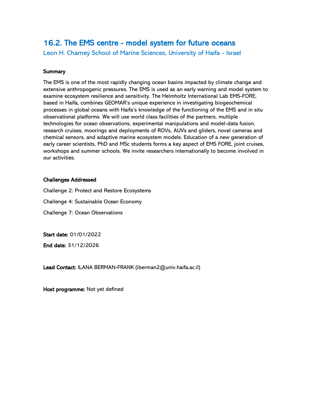# <span id="page-11-0"></span>16.2. The EMS centre - model system for future oceans

Leon H. Charney School of Marine Sciences, University of Haifa - Israel

#### **Summary**

The EMS is one of the most rapidly changing ocean basins impacted by climate change and extensive anthropogenic pressures. The EMS is used as an early warning and model system to examine ecosystem resilience and sensitivity. The Helmholtz International Lab EMS-FORE, based in Haifa, combines GEOMAR's unique experience in investigating biogeochemical processes in global oceans with Haifa's knowledge of the functioning of the EMS and in situ observational platforms. We will use world class facilities of the partners, multiple technologies for ocean observations, experimental manipulations and model-data fusion, research cruises, moorings and deployments of ROVs, AUVs and gliders, novel cameras and chemical sensors, and adaptive marine ecosystem models. Education of a new generation of early career scientists, PhD and MSc students forms a key aspect of EMS FORE, joint cruises, workshops and summer schools. We invite researchers internationally to become involved in our activities.

#### Challenges Addressed

Challenge 2: Protect and Restore Ecosystems Challenge 4: Sustainable Ocean Economy Challenge 7: Ocean Observations

Start date: 01/01/2022

End date: 31/12/2026

Lead Contact: ILANA BERMAN-FRANK (iberman2@univ.haifa.ac.il)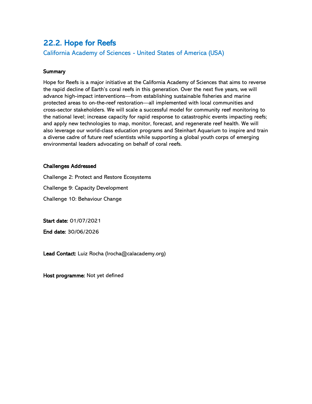# <span id="page-12-0"></span>22.2. Hope for Reefs

California Academy of Sciences - United States of America (USA)

#### **Summary**

Hope for Reefs is a major initiative at the California Academy of Sciences that aims to reverse the rapid decline of Earth's coral reefs in this generation. Over the next five years, we will advance high-impact interventions—from establishing sustainable fisheries and marine protected areas to on-the-reef restoration—all implemented with local communities and cross-sector stakeholders. We will scale a successful model for community reef monitoring to the national level; increase capacity for rapid response to catastrophic events impacting reefs; and apply new technologies to map, monitor, forecast, and regenerate reef health. We will also leverage our world-class education programs and Steinhart Aquarium to inspire and train a diverse cadre of future reef scientists while supporting a global youth corps of emerging environmental leaders advocating on behalf of coral reefs.

#### Challenges Addressed

Challenge 2: Protect and Restore Ecosystems

Challenge 9: Capacity Development

Challenge 10: Behaviour Change

Start date: 01/07/2021

End date: 30/06/2026

Lead Contact: Luiz Rocha (lrocha@calacademy.org)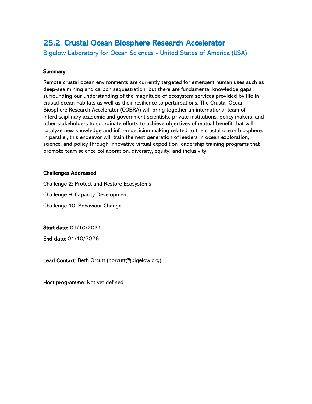# <span id="page-13-0"></span>25.2. Crustal Ocean Biosphere Research Accelerator

Bigelow Laboratory for Ocean Sciences - United States of America (USA)

#### **Summary**

Remote crustal ocean environments are currently targeted for emergent human uses such as deep-sea mining and carbon sequestration, but there are fundamental knowledge gaps surrounding our understanding of the magnitude of ecosystem services provided by life in crustal ocean habitats as well as their resilience to perturbations. The Crustal Ocean Biosphere Research Accelerator (COBRA) will bring together an international team of interdisciplinary academic and government scientists, private institutions, policy makers, and other stakeholders to coordinate efforts to achieve objectives of mutual benefit that will catalyze new knowledge and inform decision making related to the crustal ocean biosphere. In parallel, this endeavor will train the next generation of leaders in ocean exploration, science, and policy through innovative virtual expedition leadership training programs that promote team science collaboration, diversity, equity, and inclusivity.

#### Challenges Addressed

Challenge 2: Protect and Restore Ecosystems

Challenge 9: Capacity Development

Challenge 10: Behaviour Change

Start date: 01/10/2021

End date: 01/10/2026

Lead Contact: Beth Orcutt (borcutt@bigelow.org)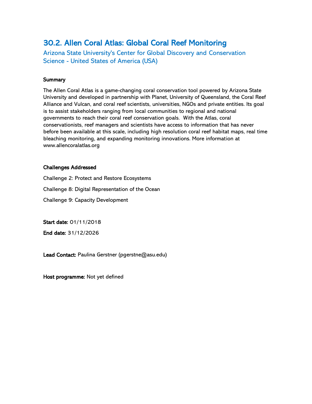# <span id="page-14-0"></span>30.2. Allen Coral Atlas: Global Coral Reef Monitoring

Arizona State University's Center for Global Discovery and Conservation Science - United States of America (USA)

#### **Summary**

The Allen Coral Atlas is a game-changing coral conservation tool powered by Arizona State University and developed in partnership with Planet, University of Queensland, the Coral Reef Alliance and Vulcan, and coral reef scientists, universities, NGOs and private entities. Its goal is to assist stakeholders ranging from local communities to regional and national governments to reach their coral reef conservation goals. With the Atlas, coral conservationists, reef managers and scientists have access to information that has never before been available at this scale, including high resolution coral reef habitat maps, real time bleaching monitoring, and expanding monitoring innovations. More information at www.allencoralatlas.org

#### Challenges Addressed

Challenge 2: Protect and Restore Ecosystems

Challenge 8: Digital Representation of the Ocean

Challenge 9: Capacity Development

Start date: 01/11/2018

End date: 31/12/2026

Lead Contact: Paulina Gerstner (pgerstne@asu.edu)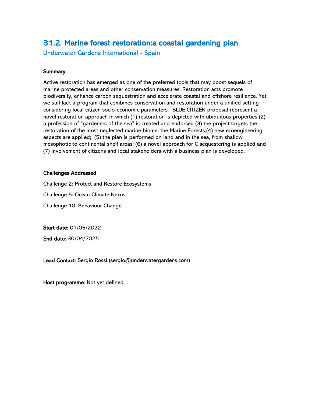# <span id="page-15-0"></span>31.2. Marine forest restoration:a coastal gardening plan

Underwater Gardens International - Spain

#### **Summary**

Active restoration has emerged as one of the preferred tools that may boost sequels of marine protected areas and other conservation measures. Restoration acts promote biodiversity, enhance carbon sequestration and accelerate coastal and offshore resilience. Yet, we still lack a program that combines conservation and restoration under a unified setting considering local citizen socio-economic parameters. BLUE CITIZEN proposal represent a novel restoration approach in which (1) restoration is depicted with ubiquitous properties (2) a profession of "gardeners of the sea" is created and endorsed (3) the project targets the restoration of the most neglected marine biome, the Marine Forests;(4) new ecoengineering aspects are applied; (5) the plan is performed on land and in the sea, from shallow, mesophotic to continental shelf areas; (6) a novel approach for C sequestering is applied and (7) involvement of citizens and local stakeholders with a business plan is developed.

#### Challenges Addressed

Challenge 2: Protect and Restore Ecosystems

Challenge 5: Ocean-Climate Nexus

Challenge 10: Behaviour Change

Start date: 01/05/2022

End date: 30/04/2025

Lead Contact: Sergio Rossi (sergio@underwatergardens.com)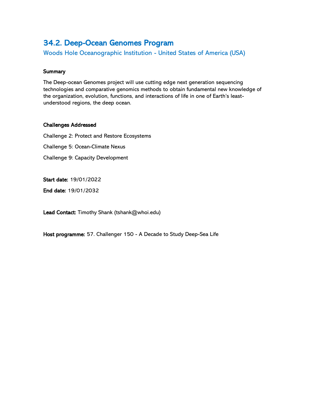## <span id="page-16-0"></span>34.2. Deep-Ocean Genomes Program

Woods Hole Oceanographic Institution - United States of America (USA)

#### **Summary**

The Deep-ocean Genomes project will use cutting edge next generation sequencing technologies and comparative genomics methods to obtain fundamental new knowledge of the organization, evolution, functions, and interactions of life in one of Earth's leastunderstood regions, the deep ocean.

#### Challenges Addressed

Challenge 2: Protect and Restore Ecosystems Challenge 5: Ocean-Climate Nexus Challenge 9: Capacity Development

Start date: 19/01/2022

End date: 19/01/2032

Lead Contact: Timothy Shank (tshank@whoi.edu)

Host programme: 57. Challenger 150 - A Decade to Study Deep-Sea Life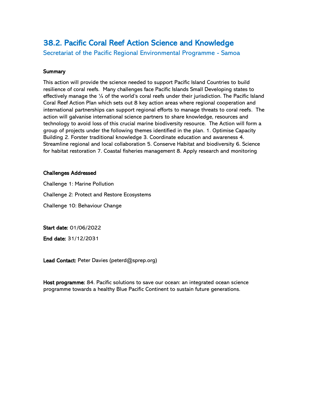# <span id="page-17-0"></span>38.2. Pacific Coral Reef Action Science and Knowledge

Secretariat of the Pacific Regional Environmental Programme - Samoa

#### **Summary**

This action will provide the science needed to support Pacific Island Countries to build resilience of coral reefs. Many challenges face Pacific Islands Small Developing states to effectively manage the ¼ of the world's coral reefs under their jurisdiction. The Pacific Island Coral Reef Action Plan which sets out 8 key action areas where regional cooperation and international partnerships can support regional efforts to manage threats to coral reefs. The action will galvanise international science partners to share knowledge, resources and technology to avoid loss of this crucial marine biodiversity resource. The Action will form a group of projects under the following themes identified in the plan. 1. Optimise Capacity Building 2. Forster traditional knowledge 3. Coordinate education and awareness 4. Streamline regional and local collaboration 5. Conserve Habitat and biodiversity 6. Science for habitat restoration 7. Coastal fisheries management 8. Apply research and monitoring

#### Challenges Addressed

Challenge 1: Marine Pollution Challenge 2: Protect and Restore Ecosystems Challenge 10: Behaviour Change

Start date: 01/06/2022

End date: 31/12/2031

Lead Contact: Peter Davies (peterd@sprep.org)

Host programme: 84. Pacific solutions to save our ocean: an integrated ocean science programme towards a healthy Blue Pacific Continent to sustain future generations.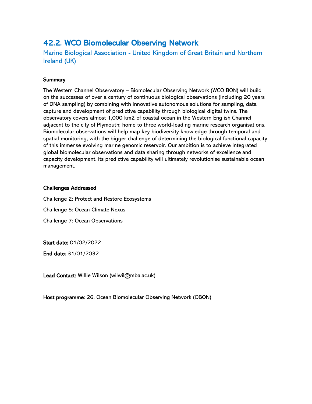### <span id="page-18-0"></span>42.2. WCO Biomolecular Observing Network

Marine Biological Association - United Kingdom of Great Britain and Northern Ireland (UK)

#### **Summary**

The Western Channel Observatory – Biomolecular Observing Network (WCO BON) will build on the successes of over a century of continuous biological observations (including 20 years of DNA sampling) by combining with innovative autonomous solutions for sampling, data capture and development of predictive capability through biological digital twins. The observatory covers almost 1,000 km2 of coastal ocean in the Western English Channel adjacent to the city of Plymouth; home to three world-leading marine research organisations. Biomolecular observations will help map key biodiversity knowledge through temporal and spatial monitoring, with the bigger challenge of determining the biological functional capacity of this immense evolving marine genomic reservoir. Our ambition is to achieve integrated global biomolecular observations and data sharing through networks of excellence and capacity development. Its predictive capability will ultimately revolutionise sustainable ocean management.

#### Challenges Addressed

Challenge 2: Protect and Restore Ecosystems

Challenge 5: Ocean-Climate Nexus

Challenge 7: Ocean Observations

Start date: 01/02/2022

End date: 31/01/2032

Lead Contact: Willie Wilson (wilwil@mba.ac.uk)

Host programme: 26. Ocean Biomolecular Observing Network (OBON)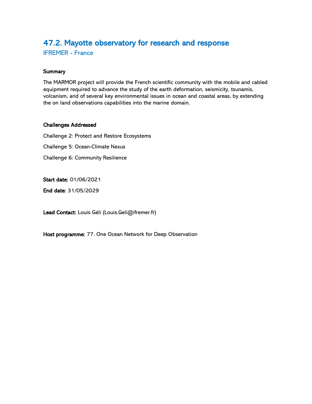# <span id="page-19-0"></span>47.2. Mayotte observatory for research and response

IFREMER - France

#### **Summary**

The MARMOR project will provide the French scientific community with the mobile and cabled equipment required to advance the study of the earth deformation, seismicity, tsunamis, volcanism, and of several key environmental issues in ocean and coastal areas, by extending the on land observations capabilities into the marine domain.

#### Challenges Addressed

Challenge 2: Protect and Restore Ecosystems Challenge 5: Ocean-Climate Nexus Challenge 6: Community Resilience

Start date: 01/06/2021

End date: 31/05/2029

Lead Contact: Louis Géli (Louis.Geli@ifremer.fr)

Host programme: 77. One Ocean Network for Deep Observation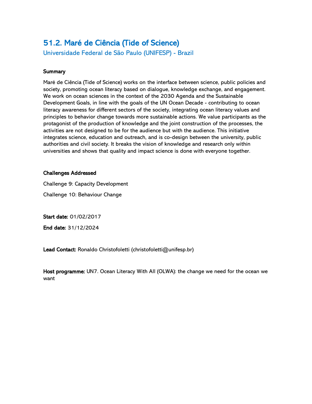# <span id="page-20-0"></span>51.2. Maré de Ciência (Tide of Science)

Universidade Federal de São Paulo (UNIFESP) - Brazil

#### **Summary**

Maré de Ciência (Tide of Science) works on the interface between science, public policies and society, promoting ocean literacy based on dialogue, knowledge exchange, and engagement. We work on ocean sciences in the context of the 2030 Agenda and the Sustainable Development Goals, in line with the goals of the UN Ocean Decade - contributing to ocean literacy awareness for different sectors of the society, integrating ocean literacy values and principles to behavior change towards more sustainable actions. We value participants as the protagonist of the production of knowledge and the joint construction of the processes, the activities are not designed to be for the audience but with the audience. This initiative integrates science, education and outreach, and is co-design between the university, public authorities and civil society. It breaks the vision of knowledge and research only within universities and shows that quality and impact science is done with everyone together.

#### Challenges Addressed

Challenge 9: Capacity Development

Challenge 10: Behaviour Change

Start date: 01/02/2017

End date: 31/12/2024

Lead Contact: Ronaldo Christofoletti (christofoletti@unifesp.br)

Host programme: UN7. Ocean Literacy With All (OLWA): the change we need for the ocean we want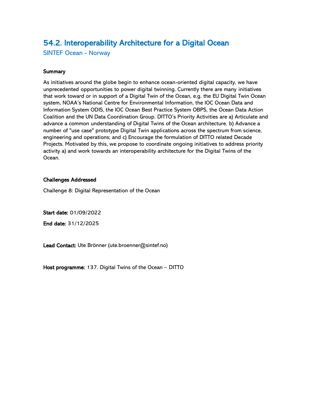# <span id="page-21-0"></span>54.2. Interoperability Architecture for a Digital Ocean

SINTEF Ocean - Norway

#### **Summary**

As initiatives around the globe begin to enhance ocean-oriented digital capacity, we have unprecedented opportunities to power digital twinning. Currently there are many initiatives that work toward or in support of a Digital Twin of the Ocean, e.g. the EU Digital Twin Ocean system, NOAA's National Centre for Environmental Information, the IOC Ocean Data and Information System ODIS, the IOC Ocean Best Practice System OBPS, the Ocean Data Action Coalition and the UN Data Coordination Group. DITTO's Priority Activities are a) Articulate and advance a common understanding of Digital Twins of the Ocean architecture. b) Advance a number of "use case" prototype Digital Twin applications across the spectrum from science, engineering and operations; and c) Encourage the formulation of DITTO related Decade Projects. Motivated by this, we propose to coordinate ongoing initiatives to address priority activity a) and work towards an interoperability architecture for the Digital Twins of the Ocean.

#### Challenges Addressed

Challenge 8: Digital Representation of the Ocean

Start date: 01/09/2022

End date: 31/12/2025

Lead Contact: Ute Brönner (ute.broenner@sintef.no)

Host programme: 137. Digital Twins of the Ocean – DITTO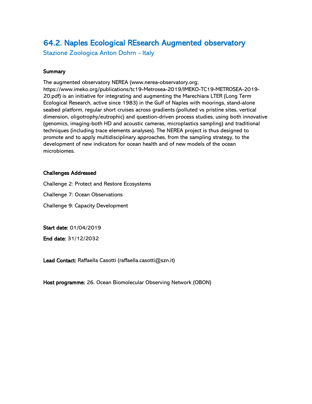# <span id="page-22-0"></span>64.2. Naples Ecological REsearch Augmented observatory

Stazione Zoologica Anton Dohrn - Italy

#### **Summary**

The augmented observatory NEREA (www.nerea-observatory.org; https://www.imeko.org/publications/tc19-Metrosea-2019/IMEKO-TC19-METROSEA-2019- 20.pdf) is an initiative for integrating and augmenting the Marechiara LTER (Long Term Ecological Research, active since 1983) in the Gulf of Naples with moorings, stand-alone seabed platform, regular short cruises across gradients (polluted vs pristine sites, vertical dimension, oligotrophy/eutrophic) and question-driven process studies, using both innovative (genomics, imaging-both HD and acoustic cameras, microplastics sampling) and traditional techniques (including trace elements analyses). The NEREA project is thus designed to promote and to apply multidisciplinary approaches, from the sampling strategy, to the development of new indicators for ocean health and of new models of the ocean microbiomes.

#### Challenges Addressed

Challenge 2: Protect and Restore Ecosystems

Challenge 7: Ocean Observations

Challenge 9: Capacity Development

Start date: 01/04/2019

End date: 31/12/2032

Lead Contact: Raffaella Casotti (raffaella.casotti@szn.it)

Host programme: 26. Ocean Biomolecular Observing Network (OBON)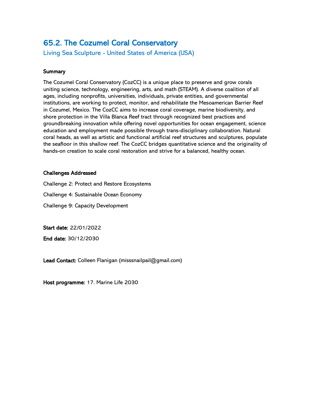## <span id="page-23-0"></span>65.2. The Cozumel Coral Conservatory

Living Sea Sculpture - United States of America (USA)

#### **Summary**

The Cozumel Coral Conservatory (CozCC) is a unique place to preserve and grow corals uniting science, technology, engineering, arts, and math (STEAM). A diverse coalition of all ages, including nonprofits, universities, individuals, private entities, and governmental institutions, are working to protect, monitor, and rehabilitate the Mesoamerican Barrier Reef in Cozumel, Mexico. The CozCC aims to increase coral coverage, marine biodiversity, and shore protection in the Villa Blanca Reef tract through recognized best practices and groundbreaking innovation while offering novel opportunities for ocean engagement, science education and employment made possible through trans-disciplinary collaboration. Natural coral heads, as well as artistic and functional artificial reef structures and sculptures, populate the seafloor in this shallow reef. The CozCC bridges quantitative science and the originality of hands-on creation to scale coral restoration and strive for a balanced, healthy ocean.

#### Challenges Addressed

Challenge 2: Protect and Restore Ecosystems Challenge 4: Sustainable Ocean Economy Challenge 9: Capacity Development

Start date: 22/01/2022

End date: 30/12/2030

Lead Contact: Colleen Flanigan (misssnailpail@gmail.com)

Host programme: 17. Marine Life 2030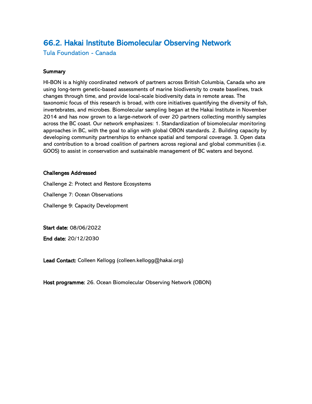## <span id="page-24-0"></span>66.2. Hakai Institute Biomolecular Observing Network

Tula Foundation - Canada

#### **Summary**

HI-BON is a highly coordinated network of partners across British Columbia, Canada who are using long-term genetic-based assessments of marine biodiversity to create baselines, track changes through time, and provide local-scale biodiversity data in remote areas. The taxonomic focus of this research is broad, with core initiatives quantifying the diversity of fish, invertebrates, and microbes. Biomolecular sampling began at the Hakai Institute in November 2014 and has now grown to a large-network of over 20 partners collecting monthly samples across the BC coast. Our network emphasizes: 1. Standardization of biomolecular monitoring approaches in BC, with the goal to align with global OBON standards. 2. Building capacity by developing community partnerships to enhance spatial and temporal coverage. 3. Open data and contribution to a broad coalition of partners across regional and global communities (i.e. GOOS) to assist in conservation and sustainable management of BC waters and beyond.

#### Challenges Addressed

Challenge 2: Protect and Restore Ecosystems

Challenge 7: Ocean Observations

Challenge 9: Capacity Development

Start date: 08/06/2022

End date: 20/12/2030

Lead Contact: Colleen Kellogg (colleen.kellogg@hakai.org)

Host programme: 26. Ocean Biomolecular Observing Network (OBON)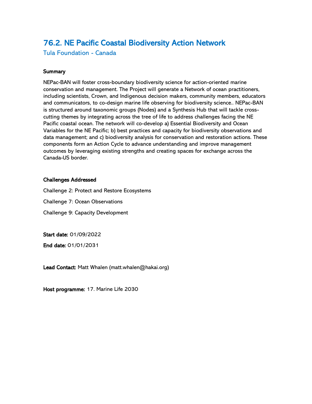# <span id="page-25-0"></span>76.2. NE Pacific Coastal Biodiversity Action Network

Tula Foundation - Canada

#### **Summary**

NEPac-BAN will foster cross-boundary biodiversity science for action-oriented marine conservation and management. The Project will generate a Network of ocean practitioners, including scientists, Crown, and Indigenous decision makers, community members, educators and communicators, to co-design marine life observing for biodiversity science.. NEPac-BAN is structured around taxonomic groups (Nodes) and a Synthesis Hub that will tackle crosscutting themes by integrating across the tree of life to address challenges facing the NE Pacific coastal ocean. The network will co-develop a) Essential Biodiversity and Ocean Variables for the NE Pacific; b) best practices and capacity for biodiversity observations and data management; and c) biodiversity analysis for conservation and restoration actions. These components form an Action Cycle to advance understanding and improve management outcomes by leveraging existing strengths and creating spaces for exchange across the Canada-US border.

#### Challenges Addressed

Challenge 2: Protect and Restore Ecosystems

Challenge 7: Ocean Observations

Challenge 9: Capacity Development

Start date: 01/09/2022

End date: 01/01/2031

Lead Contact: Matt Whalen (matt.whalen@hakai.org)

Host programme: 17. Marine Life 2030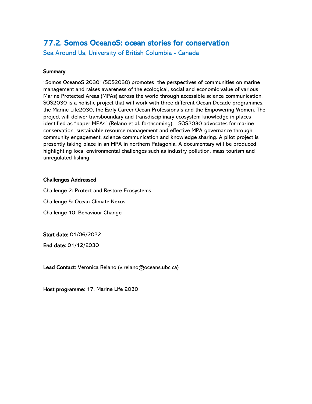### <span id="page-26-0"></span>77.2. Somos OceanoS: ocean stories for conservation

Sea Around Us, University of British Columbia - Canada

#### **Summary**

"Somos OceanoS 2030" (SOS2030) promotes the perspectives of communities on marine management and raises awareness of the ecological, social and economic value of various Marine Protected Areas (MPAs) across the world through accessible science communication. SOS2030 is a holistic project that will work with three different Ocean Decade programmes, the Marine Life2030, the Early Career Ocean Professionals and the Empowering Women. The project will deliver transboundary and transdisciplinary ecosystem knowledge in places identified as "paper MPAs" (Relano et al. forthcoming). SOS2030 advocates for marine conservation, sustainable resource management and effective MPA governance through community engagement, science communication and knowledge sharing. A pilot project is presently taking place in an MPA in northern Patagonia. A documentary will be produced highlighting local environmental challenges such as industry pollution, mass tourism and unregulated fishing.

#### Challenges Addressed

Challenge 2: Protect and Restore Ecosystems

Challenge 5: Ocean-Climate Nexus

Challenge 10: Behaviour Change

Start date: 01/06/2022

End date: 01/12/2030

Lead Contact: Veronica Relano (v.relano@oceans.ubc.ca)

Host programme: 17. Marine Life 2030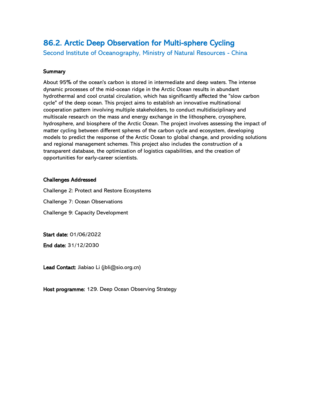# <span id="page-27-0"></span>86.2. Arctic Deep Observation for Multi-sphere Cycling

Second Institute of Oceanography, Ministry of Natural Resources - China

#### **Summary**

About 95% of the ocean's carbon is stored in intermediate and deep waters. The intense dynamic processes of the mid-ocean ridge in the Arctic Ocean results in abundant hydrothermal and cool crustal circulation, which has significantly affected the "slow carbon cycle" of the deep ocean. This project aims to establish an innovative multinational cooperation pattern involving multiple stakeholders, to conduct multidisciplinary and multiscale research on the mass and energy exchange in the lithosphere, cryosphere, hydrosphere, and biosphere of the Arctic Ocean. The project involves assessing the impact of matter cycling between different spheres of the carbon cycle and ecosystem, developing models to predict the response of the Arctic Ocean to global change, and providing solutions and regional management schemes. This project also includes the construction of a transparent database, the optimization of logistics capabilities, and the creation of opportunities for early-career scientists.

#### Challenges Addressed

Challenge 2: Protect and Restore Ecosystems

Challenge 7: Ocean Observations

Challenge 9: Capacity Development

Start date: 01/06/2022

End date: 31/12/2030

Lead Contact: Jiabiao Li (jbli@sio.org.cn)

Host programme: 129. Deep Ocean Observing Strategy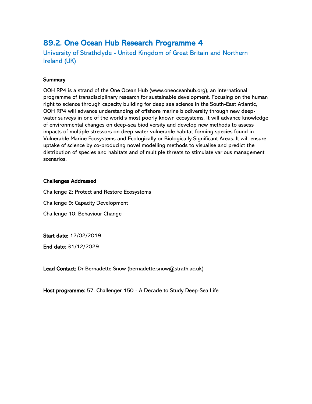### <span id="page-28-0"></span>89.2. One Ocean Hub Research Programme 4

University of Strathclyde - United Kingdom of Great Britain and Northern Ireland (UK)

#### **Summary**

OOH RP4 is a strand of the One Ocean Hub (www.oneoceanhub.org), an international programme of transdisciplinary research for sustainable development. Focusing on the human right to science through capacity building for deep sea science in the South-East Atlantic, OOH RP4 will advance understanding of offshore marine biodiversity through new deepwater surveys in one of the world's most poorly known ecosystems. It will advance knowledge of environmental changes on deep-sea biodiversity and develop new methods to assess impacts of multiple stressors on deep-water vulnerable habitat-forming species found in Vulnerable Marine Ecosystems and Ecologically or Biologically Significant Areas. It will ensure uptake of science by co-producing novel modelling methods to visualise and predict the distribution of species and habitats and of multiple threats to stimulate various management scenarios.

#### Challenges Addressed

Challenge 2: Protect and Restore Ecosystems Challenge 9: Capacity Development Challenge 10: Behaviour Change

Start date: 12/02/2019

End date: 31/12/2029

Lead Contact: Dr Bernadette Snow (bernadette.snow@strath.ac.uk)

Host programme: 57. Challenger 150 - A Decade to Study Deep-Sea Life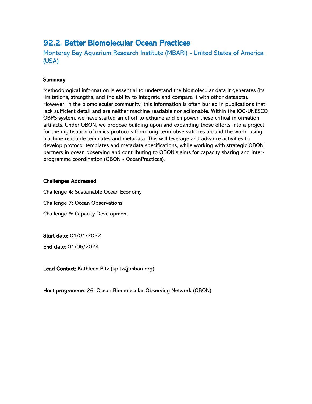### <span id="page-29-0"></span>92.2. Better Biomolecular Ocean Practices

Monterey Bay Aquarium Research Institute (MBARI) - United States of America (USA)

#### **Summary**

Methodological information is essential to understand the biomolecular data it generates (its limitations, strengths, and the ability to integrate and compare it with other datasets). However, in the biomolecular community, this information is often buried in publications that lack sufficient detail and are neither machine readable nor actionable. Within the IOC-UNESCO OBPS system, we have started an effort to exhume and empower these critical information artifacts. Under OBON, we propose building upon and expanding those efforts into a project for the digitisation of omics protocols from long-term observatories around the world using machine-readable templates and metadata. This will leverage and advance activities to develop protocol templates and metadata specifications, while working with strategic OBON partners in ocean observing and contributing to OBON's aims for capacity sharing and interprogramme coordination (OBON - OceanPractices).

#### Challenges Addressed

Challenge 4: Sustainable Ocean Economy

Challenge 7: Ocean Observations

Challenge 9: Capacity Development

Start date: 01/01/2022

End date: 01/06/2024

Lead Contact: Kathleen Pitz (kpitz@mbari.org)

Host programme: 26. Ocean Biomolecular Observing Network (OBON)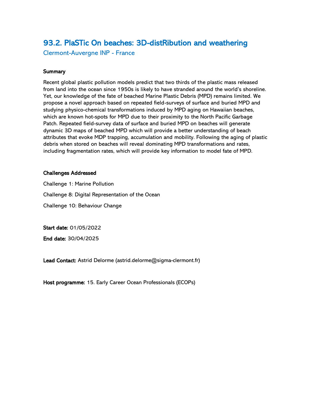### <span id="page-30-0"></span>93.2. PlaSTic On beaches: 3D-distRibution and weathering

Clermont-Auvergne INP - France

#### **Summary**

Recent global plastic pollution models predict that two thirds of the plastic mass released from land into the ocean since 1950s is likely to have stranded around the world's shoreline. Yet, our knowledge of the fate of beached Marine Plastic Debris (MPD) remains limited. We propose a novel approach based on repeated field-surveys of surface and buried MPD and studying physico-chemical transformations induced by MPD aging on Hawaiian beaches, which are known hot-spots for MPD due to their proximity to the North Pacific Garbage Patch. Repeated field-survey data of surface and buried MPD on beaches will generate dynamic 3D maps of beached MPD which will provide a better understanding of beach attributes that evoke MDP trapping, accumulation and mobility. Following the aging of plastic debris when stored on beaches will reveal dominating MPD transformations and rates, including fragmentation rates, which will provide key information to model fate of MPD.

#### Challenges Addressed

Challenge 1: Marine Pollution Challenge 8: Digital Representation of the Ocean Challenge 10: Behaviour Change

Start date: 01/05/2022

End date: 30/04/2025

Lead Contact: Astrid Delorme (astrid.delorme@sigma-clermont.fr)

Host programme: 15. Early Career Ocean Professionals (ECOPs)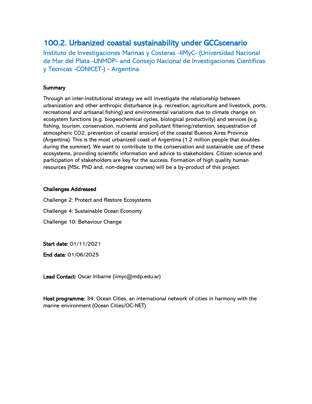### <span id="page-31-0"></span>100.2. Urbanized coastal sustainability under GCCscenario

Instituto de Investigaciones Marinas y Costeras -IIMyC- (Universidad Nacional de Mar del Plata -UNMDP- and Consejo Nacional de Investigaciones Científicas y Técnicas -CONICET-) - Argentina

#### **Summary**

Through an inter-institutional strategy we will investigate the relationship between urbanization and other anthropic disturbance (e.g. recreation, agriculture and livestock, ports, recreational and artisanal fishing) and environmental variations due to climate change on ecosystem functions (e.g. biogeochemical cycles, biological productivity) and services (e.g. fishing, tourism, conservation, nutrients and pollutant filtering/retention, sequestration of atmospheric CO2, prevention of coastal erosion) of the coastal Buenos Aires Province (Argentina). This is the most urbanized coast of Argentina (1.2 million people that doubles during the summer). We want to contribute to the conservation and sustainable use of these ecosystems, providing scientific information and advice to stakeholders. Citizen science and participation of stakeholders are key for the success. Formation of high quality human resources (MSc, PhD and, non-degree courses) will be a by-product of this project.

#### Challenges Addressed

Challenge 2: Protect and Restore Ecosystems Challenge 4: Sustainable Ocean Economy Challenge 10: Behaviour Change

Start date: 01/11/2021

End date: 01/06/2025

Lead Contact: Oscar Iribarne (iimyc@mdp.edu.ar)

Host programme: 34. Ocean Cities, an international network of cities in harmony with the marine environment (Ocean Cities/OC-NET)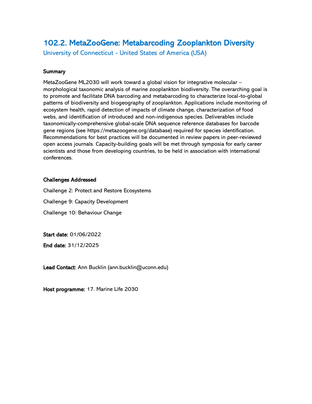# <span id="page-32-0"></span>102.2. MetaZooGene: Metabarcoding Zooplankton Diversity

University of Connecticut - United States of America (USA)

#### **Summary**

MetaZooGene ML2030 will work toward a global vision for integrative molecular – morphological taxonomic analysis of marine zooplankton biodiversity. The overarching goal is to promote and facilitate DNA barcoding and metabarcoding to characterize local-to-global patterns of biodiversity and biogeography of zooplankton. Applications include monitoring of ecosystem health, rapid detection of impacts of climate change, characterization of food webs, and identification of introduced and non-indigenous species. Deliverables include taxonomically-comprehensive global-scale DNA sequence reference databases for barcode gene regions (see https://metazoogene.org/database) required for species identification. Recommendations for best practices will be documented in review papers in peer-reviewed open access journals. Capacity-building goals will be met through symposia for early career scientists and those from developing countries, to be held in association with international conferences.

#### Challenges Addressed

Challenge 2: Protect and Restore Ecosystems Challenge 9: Capacity Development Challenge 10: Behaviour Change

Start date: 01/06/2022

End date: 31/12/2025

Lead Contact: Ann Bucklin (ann.bucklin@uconn.edu)

Host programme: 17. Marine Life 2030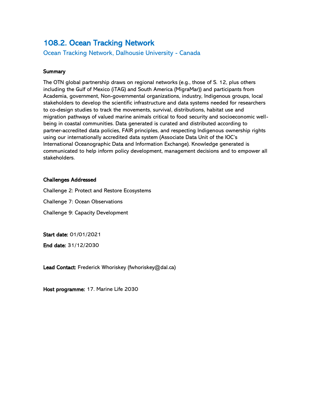### <span id="page-33-0"></span>108.2. Ocean Tracking Network

Ocean Tracking Network, Dalhousie University - Canada

#### **Summary**

The OTN global partnership draws on regional networks (e.g., those of S. 12, plus others including the Gulf of Mexico (iTAG) and South America (MigraMar)) and participants from Academia, government, Non-governmental organizations, industry, Indigenous groups, local stakeholders to develop the scientific infrastructure and data systems needed for researchers to co-design studies to track the movements, survival, distributions, habitat use and migration pathways of valued marine animals critical to food security and socioeconomic wellbeing in coastal communities. Data generated is curated and distributed according to partner-accredited data policies, FAIR principles, and respecting Indigenous ownership rights using our internationally accredited data system (Associate Data Unit of the IOC's International Oceanographic Data and Information Exchange). Knowledge generated is communicated to help inform policy development, management decisions and to empower all stakeholders.

#### Challenges Addressed

Challenge 2: Protect and Restore Ecosystems

Challenge 7: Ocean Observations

Challenge 9: Capacity Development

Start date: 01/01/2021

End date: 31/12/2030

Lead Contact: Frederick Whoriskey (fwhoriskey@dal.ca)

Host programme: 17. Marine Life 2030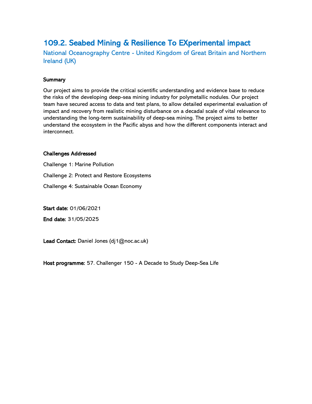# <span id="page-34-0"></span>109.2. Seabed Mining & Resilience To EXperimental impact

National Oceanography Centre - United Kingdom of Great Britain and Northern Ireland (UK)

#### **Summary**

Our project aims to provide the critical scientific understanding and evidence base to reduce the risks of the developing deep-sea mining industry for polymetallic nodules. Our project team have secured access to data and test plans, to allow detailed experimental evaluation of impact and recovery from realistic mining disturbance on a decadal scale of vital relevance to understanding the long-term sustainability of deep-sea mining. The project aims to better understand the ecosystem in the Pacific abyss and how the different components interact and interconnect.

#### Challenges Addressed

Challenge 1: Marine Pollution Challenge 2: Protect and Restore Ecosystems Challenge 4: Sustainable Ocean Economy

Start date: 01/06/2021

End date: 31/05/2025

Lead Contact: Daniel Jones (dj1@noc.ac.uk)

Host programme: 57. Challenger 150 - A Decade to Study Deep-Sea Life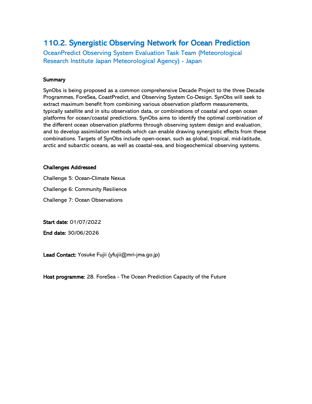# <span id="page-35-0"></span>110.2. Synergistic Observing Network for Ocean Prediction

OceanPredict Observing System Evaluation Task Team (Meteorological Research Institute Japan Meteorological Agency) - Japan

#### **Summary**

SynObs is being proposed as a common comprehensive Decade Project to the three Decade Programmes, ForeSea, CoastPredict, and Observing System Co-Design. SynObs will seek to extract maximum benefit from combining various observation platform measurements, typically satellite and in situ observation data, or combinations of coastal and open ocean platforms for ocean/coastal predictions. SynObs aims to identify the optimal combination of the different ocean observation platforms through observing system design and evaluation, and to develop assimilation methods which can enable drawing synergistic effects from these combinations. Targets of SynObs include open-ocean, such as global, tropical, mid-latitude, arctic and subarctic oceans, as well as coastal-sea, and biogeochemical observing systems.

#### Challenges Addressed

Challenge 5: Ocean-Climate Nexus

Challenge 6: Community Resilience

Challenge 7: Ocean Observations

Start date: 01/07/2022

End date: 30/06/2026

Lead Contact: Yosuke Fujii (yfujii@mri-jma.go.jp)

Host programme: 28. ForeSea - The Ocean Prediction Capacity of the Future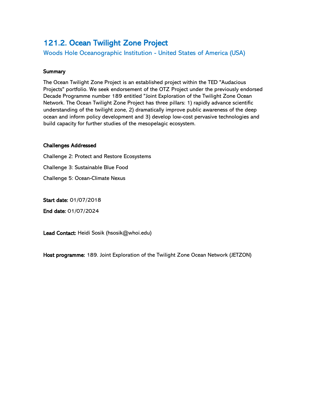# <span id="page-36-0"></span>121.2. Ocean Twilight Zone Project

Woods Hole Oceanographic Institution - United States of America (USA)

#### **Summary**

The Ocean Twilight Zone Project is an established project within the TED "Audacious Projects" portfolio. We seek endorsement of the OTZ Project under the previously endorsed Decade Programme number 189 entitled "Joint Exploration of the Twilight Zone Ocean Network. The Ocean Twilight Zone Project has three pillars: 1) rapidly advance scientific understanding of the twilight zone, 2) dramatically improve public awareness of the deep ocean and inform policy development and 3) develop low-cost pervasive technologies and build capacity for further studies of the mesopelagic ecosystem.

#### Challenges Addressed

Challenge 2: Protect and Restore Ecosystems Challenge 3: Sustainable Blue Food

Challenge 5: Ocean-Climate Nexus

Start date: 01/07/2018

End date: 01/07/2024

Lead Contact: Heidi Sosik (hsosik@whoi.edu)

Host programme: 189. Joint Exploration of the Twilight Zone Ocean Network (JETZON)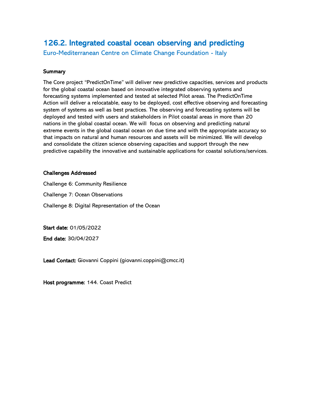# <span id="page-37-0"></span>126.2. Integrated coastal ocean observing and predicting

Euro-Mediterranean Centre on Climate Change Foundation - Italy

#### **Summary**

The Core project "PredictOnTime" will deliver new predictive capacities, services and products for the global coastal ocean based on innovative integrated observing systems and forecasting systems implemented and tested at selected Pilot areas. The PredictOnTime Action will deliver a relocatable, easy to be deployed, cost effective observing and forecasting system of systems as well as best practices. The observing and forecasting systems will be deployed and tested with users and stakeholders in Pilot coastal areas in more than 20 nations in the global coastal ocean. We will focus on observing and predicting natural extreme events in the global coastal ocean on due time and with the appropriate accuracy so that impacts on natural and human resources and assets will be minimized. We will develop and consolidate the citizen science observing capacities and support through the new predictive capability the innovative and sustainable applications for coastal solutions/services.

#### Challenges Addressed

Challenge 6: Community Resilience Challenge 7: Ocean Observations Challenge 8: Digital Representation of the Ocean

Start date: 01/05/2022

End date: 30/04/2027

Lead Contact: Giovanni Coppini (giovanni.coppini@cmcc.it)

Host programme: 144. Coast Predict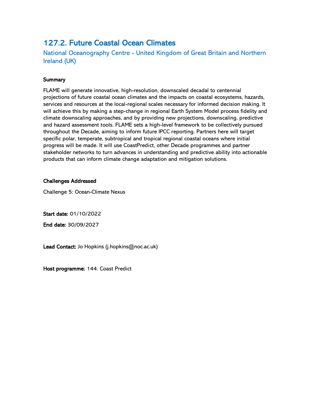# <span id="page-38-0"></span>127.2. Future Coastal Ocean Climates

National Oceanography Centre - United Kingdom of Great Britain and Northern Ireland (UK)

#### **Summary**

FLAME will generate innovative, high-resolution, downscaled decadal to centennial projections of future coastal ocean climates and the impacts on coastal ecosystems, hazards, services and resources at the local-regional scales necessary for informed decision making. It will achieve this by making a step-change in regional Earth System Model process fidelity and climate downscaling approaches, and by providing new projections, downscaling, predictive and hazard assessment tools. FLAME sets a high-level framework to be collectively pursued throughout the Decade, aiming to inform future IPCC reporting. Partners here will target specific polar, temperate, subtropical and tropical regional coastal oceans where initial progress will be made. It will use CoastPredict, other Decade programmes and partner stakeholder networks to turn advances in understanding and predictive ability into actionable products that can inform climate change adaptation and mitigation solutions.

#### Challenges Addressed

Challenge 5: Ocean-Climate Nexus

Start date: 01/10/2022

End date: 30/09/2027

Lead Contact: Jo Hopkins (j.hopkins@noc.ac.uk)

Host programme: 144. Coast Predict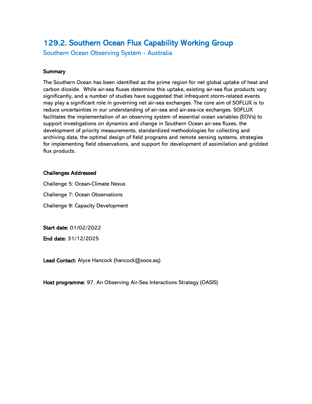# <span id="page-39-0"></span>129.2. Southern Ocean Flux Capability Working Group

Southern Ocean Observing System - Australia

#### **Summary**

The Southern Ocean has been identified as the prime region for net global uptake of heat and carbon dioxide. While air-sea fluxes determine this uptake, existing air-sea flux products vary significantly, and a number of studies have suggested that infrequent storm-related events may play a significant role in governing net air-sea exchanges. The core aim of SOFLUX is to reduce uncertainties in our understanding of air-sea and air-sea-ice exchanges. SOFLUX facilitates the implementation of an observing system of essential ocean variables (EOVs) to support investigations on dynamics and change in Southern Ocean air-sea fluxes, the development of priority measurements, standardized methodologies for collecting and archiving data, the optimal design of field programs and remote sensing systems, strategies for implementing field observations, and support for development of assimilation and gridded flux products.

#### Challenges Addressed

Challenge 5: Ocean-Climate Nexus Challenge 7: Ocean Observations Challenge 9: Capacity Development

Start date: 01/02/2022

End date: 31/12/2025

Lead Contact: Alyce Hancock (hancock@soos.aq)

Host programme: 97. An Observing Air-Sea Interactions Strategy (OASIS)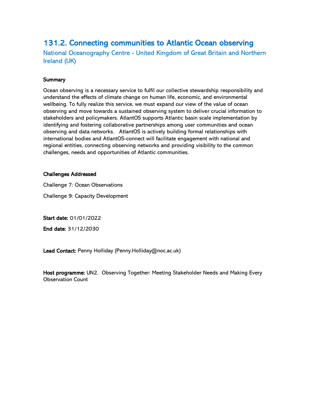# <span id="page-40-0"></span>131.2. Connecting communities to Atlantic Ocean observing

National Oceanography Centre - United Kingdom of Great Britain and Northern Ireland (UK)

#### **Summary**

Ocean observing is a necessary service to fulfil our collective stewardship responsibility and understand the effects of climate change on human life, economic, and environmental wellbeing. To fully realize this service, we must expand our view of the value of ocean observing and move towards a sustained observing system to deliver crucial information to stakeholders and policymakers. AtlantOS supports Atlantic basin scale implementation by identifying and fostering collaborative partnerships among user communities and ocean observing and data networks. AtlantOS is actively building formal relationships with international bodies and AtlantOS-connect will facilitate engagement with national and regional entities, connecting observing networks and providing visibility to the common challenges, needs and opportunities of Atlantic communities.

#### Challenges Addressed

Challenge 7: Ocean Observations

Challenge 9: Capacity Development

Start date: 01/01/2022

End date: 31/12/2030

Lead Contact: Penny Holliday (Penny.Holliday@noc.ac.uk)

Host programme: UN2. Observing Together: Meeting Stakeholder Needs and Making Every Observation Count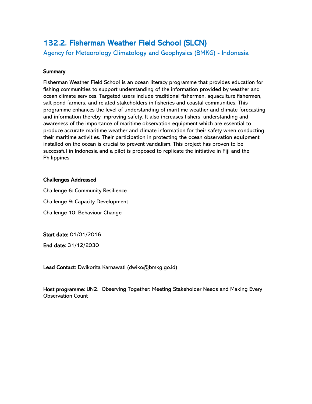# <span id="page-41-0"></span>132.2. Fisherman Weather Field School (SLCN)

Agency for Meteorology Climatology and Geophysics (BMKG) - Indonesia

#### **Summary**

Fisherman Weather Field School is an ocean literacy programme that provides education for fishing communities to support understanding of the information provided by weather and ocean climate services. Targeted users include traditional fishermen, aquaculture fishermen, salt pond farmers, and related stakeholders in fisheries and coastal communities. This programme enhances the level of understanding of maritime weather and climate forecasting and information thereby improving safety. It also increases fishers' understanding and awareness of the importance of maritime observation equipment which are essential to produce accurate maritime weather and climate information for their safety when conducting their maritime activities. Their participation in protecting the ocean observation equipment installed on the ocean is crucial to prevent vandalism. This project has proven to be successful in Indonesia and a pilot is proposed to replicate the initiative in Fiji and the Philippines.

#### Challenges Addressed

Challenge 6: Community Resilience Challenge 9: Capacity Development Challenge 10: Behaviour Change

Start date: 01/01/2016

End date: 31/12/2030

Lead Contact: Dwikorita Karnawati (dwiko@bmkg.go.id)

Host programme: UN2. Observing Together: Meeting Stakeholder Needs and Making Every Observation Count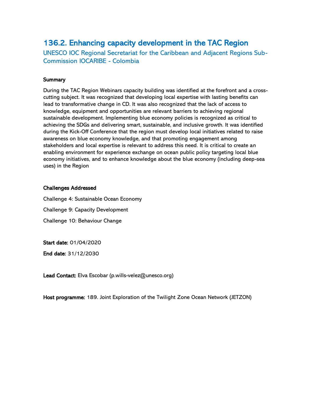# <span id="page-42-0"></span>136.2. Enhancing capacity development in the TAC Region

UNESCO IOC Regional Secretariat for the Caribbean and Adjacent Regions Sub-Commission IOCARIBE - Colombia

#### **Summary**

During the TAC Region Webinars capacity building was identified at the forefront and a crosscutting subject. It was recognized that developing local expertise with lasting benefits can lead to transformative change in CD. It was also recognized that the lack of access to knowledge, equipment and opportunities are relevant barriers to achieving regional sustainable development. Implementing blue economy policies is recognized as critical to achieving the SDGs and delivering smart, sustainable, and inclusive growth. It was identified during the Kick-Off Conference that the region must develop local initiatives related to raise awareness on blue economy knowledge, and that promoting engagement among stakeholders and local expertise is relevant to address this need. It is critical to create an enabling environment for experience exchange on ocean public policy targeting local blue economy initiatives, and to enhance knowledge about the blue economy (including deep-sea uses) in the Region

#### Challenges Addressed

Challenge 4: Sustainable Ocean Economy Challenge 9: Capacity Development Challenge 10: Behaviour Change

Start date: 01/04/2020

End date: 31/12/2030

Lead Contact: Elva Escobar (p.wills-velez@unesco.org)

Host programme: 189. Joint Exploration of the Twilight Zone Ocean Network (JETZON)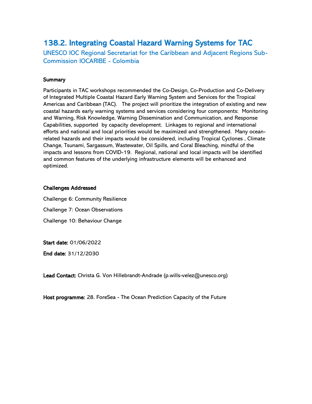# <span id="page-43-0"></span>138.2. Integrating Coastal Hazard Warning Systems for TAC

UNESCO IOC Regional Secretariat for the Caribbean and Adjacent Regions Sub-Commission IOCARIBE - Colombia

#### **Summary**

Participants in TAC workshops recommended the Co-Design, Co-Production and Co-Delivery of Integrated Multiple Coastal Hazard Early Warning System and Services for the Tropical Americas and Caribbean (TAC). The project will prioritize the integration of existing and new coastal hazards early warning systems and services considering four components: Monitoring and Warning, Risk Knowledge, Warning Dissemination and Communication, and Response Capabilities, supported by capacity development. Linkages to regional and international efforts and national and local priorities would be maximized and strengthened. Many oceanrelated hazards and their impacts would be considered, including Tropical Cyclones , Climate Change, Tsunami, Sargassum, Wastewater, Oil Spills, and Coral Bleaching, mindful of the impacts and lessons from COVID-19. Regional, national and local impacts will be identified and common features of the underlying infrastructure elements will be enhanced and optimized.

#### Challenges Addressed

Challenge 6: Community Resilience

Challenge 7: Ocean Observations

Challenge 10: Behaviour Change

Start date: 01/06/2022

End date: 31/12/2030

Lead Contact: Christa G. Von Hillebrandt-Andrade (p.wills-velez@unesco.org)

Host programme: 28. ForeSea - The Ocean Prediction Capacity of the Future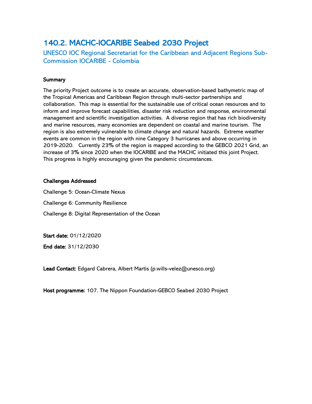# <span id="page-44-0"></span>140.2. MACHC-IOCARIBE Seabed 2030 Project

UNESCO IOC Regional Secretariat for the Caribbean and Adjacent Regions Sub-Commission IOCARIBE - Colombia

#### **Summary**

The priority Project outcome is to create an accurate, observation-based bathymetric map of the Tropical Americas and Caribbean Region through multi-sector partnerships and collaboration. This map is essential for the sustainable use of critical ocean resources and to inform and improve forecast capabilities, disaster risk reduction and response, environmental management and scientific investigation activities. A diverse region that has rich biodiversity and marine resources, many economies are dependent on coastal and marine tourism. The region is also extremely vulnerable to climate change and natural hazards. Extreme weather events are common in the region with nine Category 3 hurricanes and above occurring in 2019-2020. Currently 23% of the region is mapped according to the GEBCO 2021 Grid, an increase of 3% since 2020 when the IOCARIBE and the MACHC initiated this joint Project. This progress is highly encouraging given the pandemic circumstances.

#### Challenges Addressed

Challenge 5: Ocean-Climate Nexus Challenge 6: Community Resilience Challenge 8: Digital Representation of the Ocean

Start date: 01/12/2020

End date: 31/12/2030

Lead Contact: Edgard Cabrera, Albert Martis (p.wills-velez@unesco.org)

Host programme: 107. The Nippon Foundation-GEBCO Seabed 2030 Project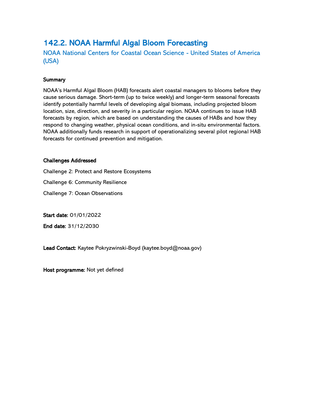# <span id="page-45-0"></span>142.2. NOAA Harmful Algal Bloom Forecasting

NOAA National Centers for Coastal Ocean Science - United States of America (USA)

#### **Summary**

NOAA's Harmful Algal Bloom (HAB) forecasts alert coastal managers to blooms before they cause serious damage. Short-term (up to twice weekly) and longer-term seasonal forecasts identify potentially harmful levels of developing algal biomass, including projected bloom location, size, direction, and severity in a particular region. NOAA continues to issue HAB forecasts by region, which are based on understanding the causes of HABs and how they respond to changing weather, physical ocean conditions, and in-situ environmental factors. NOAA additionally funds research in support of operationalizing several pilot regional HAB forecasts for continued prevention and mitigation.

#### Challenges Addressed

Challenge 2: Protect and Restore Ecosystems

Challenge 6: Community Resilience

Challenge 7: Ocean Observations

Start date: 01/01/2022

End date: 31/12/2030

Lead Contact: Kaytee Pokryzwinski-Boyd (kaytee.boyd@noaa.gov)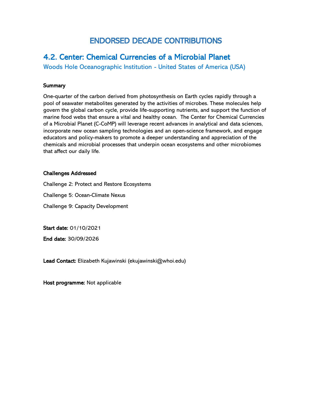# ENDORSED DECADE CONTRIBUTIONS

### <span id="page-46-0"></span>4.2. Center: Chemical Currencies of a Microbial Planet

Woods Hole Oceanographic Institution - United States of America (USA)

#### **Summary**

One-quarter of the carbon derived from photosynthesis on Earth cycles rapidly through a pool of seawater metabolites generated by the activities of microbes. These molecules help govern the global carbon cycle, provide life-supporting nutrients, and support the function of marine food webs that ensure a vital and healthy ocean. The Center for Chemical Currencies of a Microbial Planet (C-CoMP) will leverage recent advances in analytical and data sciences, incorporate new ocean sampling technologies and an open-science framework, and engage educators and policy-makers to promote a deeper understanding and appreciation of the chemicals and microbial processes that underpin ocean ecosystems and other microbiomes that affect our daily life.

#### Challenges Addressed

Challenge 2: Protect and Restore Ecosystems

Challenge 5: Ocean-Climate Nexus

Challenge 9: Capacity Development

Start date: 01/10/2021

End date: 30/09/2026

Lead Contact: Elizabeth Kujawinski (ekujawinski@whoi.edu)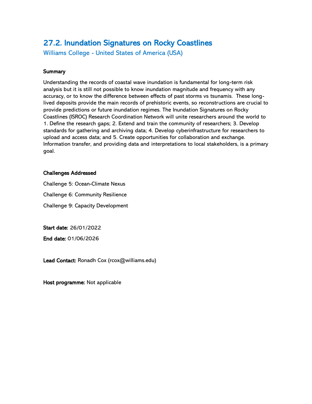# <span id="page-47-0"></span>27.2. Inundation Signatures on Rocky Coastlines

Williams College - United States of America (USA)

#### **Summary**

Understanding the records of coastal wave inundation is fundamental for long-term risk analysis but it is still not possible to know inundation magnitude and frequency with any accuracy, or to know the difference between effects of past storms vs tsunamis. These longlived deposits provide the main records of prehistoric events, so reconstructions are crucial to provide predictions or future inundation regimes. The Inundation Signatures on Rocky Coastlines (ISROC) Research Coordination Network will unite researchers around the world to 1. Define the research gaps; 2. Extend and train the community of researchers; 3. Develop standards for gathering and archiving data; 4. Develop cyberinfrastructure for researchers to upload and access data; and 5. Create opportunities for collaboration and exchange. Information transfer, and providing data and interpretations to local stakeholders, is a primary goal.

#### Challenges Addressed

Challenge 5: Ocean-Climate Nexus Challenge 6: Community Resilience Challenge 9: Capacity Development

Start date: 26/01/2022

End date: 01/06/2026

Lead Contact: Ronadh Cox (rcox@williams.edu)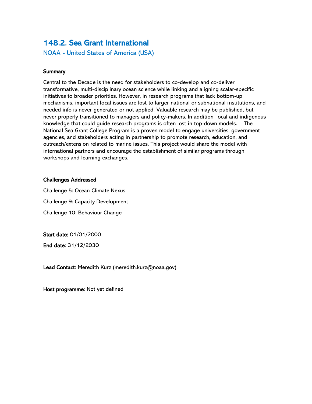### <span id="page-48-0"></span>148.2. Sea Grant International

NOAA - United States of America (USA)

#### **Summary**

Central to the Decade is the need for stakeholders to co-develop and co-deliver transformative, multi-disciplinary ocean science while linking and aligning scalar-specific initiatives to broader priorities. However, in research programs that lack bottom-up mechanisms, important local issues are lost to larger national or subnational institutions, and needed info is never generated or not applied. Valuable research may be published, but never properly transitioned to managers and policy-makers. In addition, local and indigenous knowledge that could guide research programs is often lost in top-down models. The National Sea Grant College Program is a proven model to engage universities, government agencies, and stakeholders acting in partnership to promote research, education, and outreach/extension related to marine issues. This project would share the model with international partners and encourage the establishment of similar programs through workshops and learning exchanges.

#### Challenges Addressed

Challenge 5: Ocean-Climate Nexus Challenge 9: Capacity Development Challenge 10: Behaviour Change

Start date: 01/01/2000

End date: 31/12/2030

Lead Contact: Meredith Kurz (meredith.kurz@noaa.gov)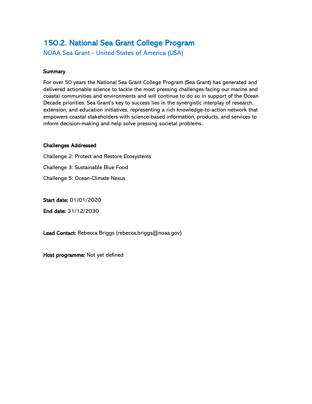# <span id="page-49-0"></span>150.2. National Sea Grant College Program

NOAA Sea Grant - United States of America (USA)

#### **Summary**

For over 50 years the National Sea Grant College Program (Sea Grant) has generated and delivered actionable science to tackle the most pressing challenges facing our marine and coastal communities and environments and will continue to do so in support of the Ocean Decade priorities. Sea Grant's key to success lies in the synergistic interplay of research, extension, and education initiatives, representing a rich knowledge-to-action network that empowers coastal stakeholders with science-based information, products, and services to inform decision-making and help solve pressing societal problems.

#### Challenges Addressed

Challenge 2: Protect and Restore Ecosystems Challenge 3: Sustainable Blue Food

Challenge 5: Ocean-Climate Nexus

Start date: 01/01/2020

End date: 31/12/2030

Lead Contact: Rebecca Briggs (rebecca.briggs@noaa.gov)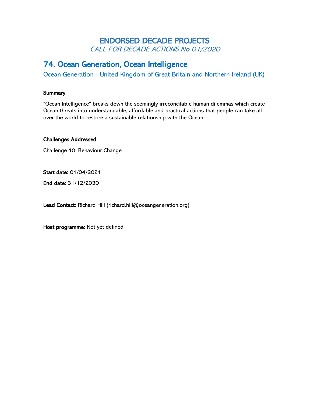### ENDORSED DECADE PROJECTS CALL FOR DECADE ACTIONS No 01/2020

### <span id="page-50-0"></span>74. Ocean Generation, Ocean Intelligence

Ocean Generation - United Kingdom of Great Britain and Northern Ireland (UK)

#### **Summary**

"Ocean Intelligence" breaks down the seemingly irreconcilable human dilemmas which create Ocean threats into understandable, affordable and practical actions that people can take all over the world to restore a sustainable relationship with the Ocean.

#### Challenges Addressed

Challenge 10: Behaviour Change

Start date: 01/04/2021

End date: 31/12/2030

Lead Contact: Richard Hill (richard.hill@oceangeneration.org)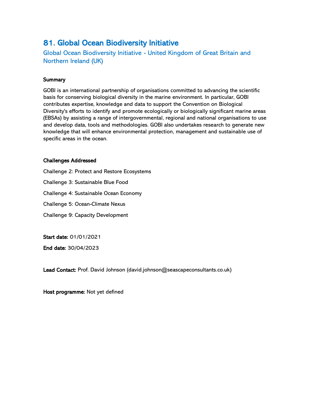### <span id="page-51-0"></span>81. Global Ocean Biodiversity Initiative

Global Ocean Biodiversity Initiative - United Kingdom of Great Britain and Northern Ireland (UK)

#### **Summary**

GOBI is an international partnership of organisations committed to advancing the scientific basis for conserving biological diversity in the marine environment. In particular, GOBI contributes expertise, knowledge and data to support the Convention on Biological Diversity's efforts to identify and promote ecologically or biologically significant marine areas (EBSAs) by assisting a range of intergovernmental, regional and national organisations to use and develop data, tools and methodologies. GOBI also undertakes research to generate new knowledge that will enhance environmental protection, management and sustainable use of specific areas in the ocean.

#### Challenges Addressed

Challenge 2: Protect and Restore Ecosystems Challenge 3: Sustainable Blue Food Challenge 4: Sustainable Ocean Economy Challenge 5: Ocean-Climate Nexus Challenge 9: Capacity Development

Start date: 01/01/2021

End date: 30/04/2023

Lead Contact: Prof. David Johnson (david.johnson@seascapeconsultants.co.uk)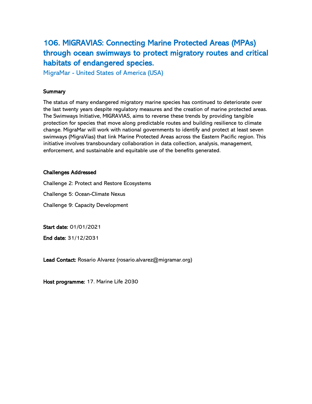<span id="page-52-0"></span>106. MIGRAVIAS: Connecting Marine Protected Areas (MPAs) through ocean swimways to protect migratory routes and critical habitats of endangered species.

MigraMar - United States of America (USA)

#### **Summary**

The status of many endangered migratory marine species has continued to deteriorate over the last twenty years despite regulatory measures and the creation of marine protected areas. The Swimways Initiative, MIGRAVIAS, aims to reverse these trends by providing tangible protection for species that move along predictable routes and building resilience to climate change. MigraMar will work with national governments to identify and protect at least seven swimways (MigraVias) that link Marine Protected Areas across the Eastern Pacific region. This initiative involves transboundary collaboration in data collection, analysis, management, enforcement, and sustainable and equitable use of the benefits generated.

#### Challenges Addressed

Challenge 2: Protect and Restore Ecosystems

Challenge 5: Ocean-Climate Nexus

Challenge 9: Capacity Development

Start date: 01/01/2021

End date: 31/12/2031

Lead Contact: Rosario Alvarez (rosario.alvarez@migramar.org)

Host programme: 17. Marine Life 2030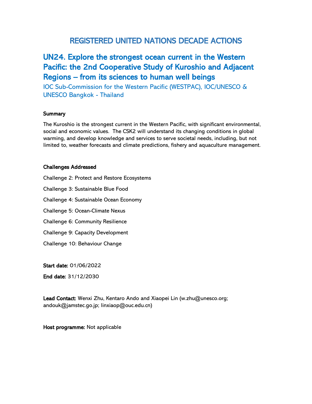### REGISTERED UNITED NATIONS DECADE ACTIONS

# <span id="page-53-0"></span>UN24. Explore the strongest ocean current in the Western Pacific: the 2nd Cooperative Study of Kuroshio and Adjacent Regions – from its sciences to human well beings

IOC Sub-Commission for the Western Pacific (WESTPAC), IOC/UNESCO & UNESCO Bangkok - Thailand

#### **Summary**

The Kuroshio is the strongest current in the Western Pacific, with significant environmental, social and economic values. The CSK2 will understand its changing conditions in global warming, and develop knowledge and services to serve societal needs, including, but not limited to, weather forecasts and climate predictions, fishery and aquaculture management.

#### Challenges Addressed

Challenge 2: Protect and Restore Ecosystems

Challenge 3: Sustainable Blue Food

Challenge 4: Sustainable Ocean Economy

Challenge 5: Ocean-Climate Nexus

Challenge 6: Community Resilience

Challenge 9: Capacity Development

Challenge 10: Behaviour Change

Start date: 01/06/2022

End date: 31/12/2030

Lead Contact: Wenxi Zhu, Kentaro Ando and Xiaopei Lin (w.zhu@unesco.org; andouk@jamstec.go.jp; linxiaop@ouc.edu.cn)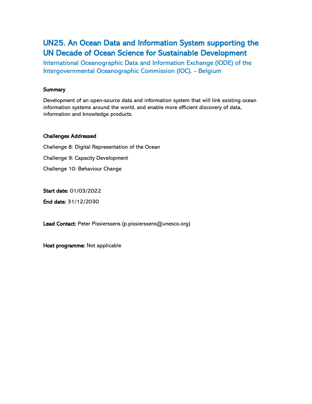# <span id="page-54-0"></span>UN25. An Ocean Data and Information System supporting the UN Decade of Ocean Science for Sustainable Development

International Oceanographic Data and Information Exchange (IODE) of the Intergovernmental Oceanographic Commission (IOC). - Belgium

#### **Summary**

Development of an open-source data and information system that will link existing ocean information systems around the world, and enable more efficient discovery of data, information and knowledge products.

#### Challenges Addressed

Challenge 8: Digital Representation of the Ocean Challenge 9: Capacity Development Challenge 10: Behaviour Change

Start date: 01/03/2022

End date: 31/12/2030

Lead Contact: Peter Pissierssens (p.pissierssens@unesco.org)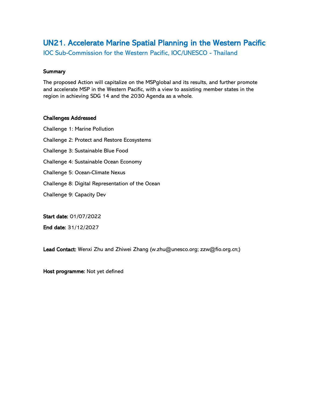# <span id="page-55-0"></span>UN21. Accelerate Marine Spatial Planning in the Western Pacific

IOC Sub-Commission for the Western Pacific, IOC/UNESCO - Thailand

#### **Summary**

The proposed Action will capitalize on the MSPglobal and its results, and further promote and accelerate MSP in the Western Pacific, with a view to assisting member states in the region in achieving SDG 14 and the 2030 Agenda as a whole.

#### Challenges Addressed

Challenge 1: Marine Pollution Challenge 2: Protect and Restore Ecosystems Challenge 3: Sustainable Blue Food Challenge 4: Sustainable Ocean Economy Challenge 5: Ocean-Climate Nexus Challenge 8: Digital Representation of the Ocean Challenge 9: Capacity Dev

Start date: 01/07/2022

End date: 31/12/2027

Lead Contact: Wenxi Zhu and Zhiwei Zhang (w.zhu@unesco.org; zzw@fio.org.cn;)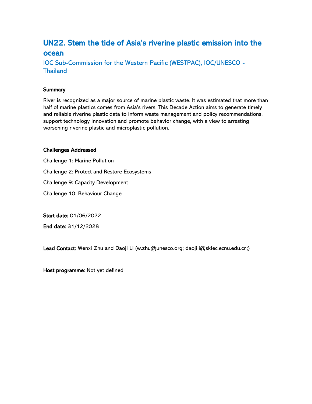### <span id="page-56-0"></span>UN22. Stem the tide of Asia's riverine plastic emission into the ocean

IOC Sub-Commission for the Western Pacific (WESTPAC), IOC/UNESCO - **Thailand** 

#### **Summary**

River is recognized as a major source of marine plastic waste. It was estimated that more than half of marine plastics comes from Asia's rivers. This Decade Action aims to generate timely and reliable riverine plastic data to inform waste management and policy recommendations, support technology innovation and promote behavior change, with a view to arresting worsening riverine plastic and microplastic pollution.

#### Challenges Addressed

Challenge 1: Marine Pollution

Challenge 2: Protect and Restore Ecosystems

Challenge 9: Capacity Development

Challenge 10: Behaviour Change

Start date: 01/06/2022

End date: 31/12/2028

Lead Contact: Wenxi Zhu and Daoji Li (w.zhu@unesco.org; daojili@sklec.ecnu.edu.cn;)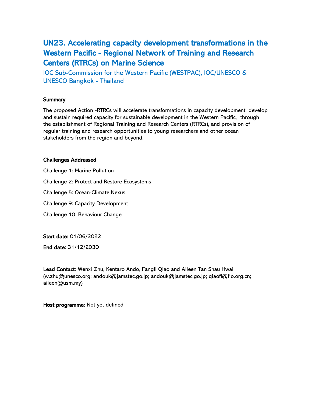# <span id="page-57-0"></span>UN23. Accelerating capacity development transformations in the Western Pacific - Regional Network of Training and Research Centers (RTRCs) on Marine Science

IOC Sub-Commission for the Western Pacific (WESTPAC), IOC/UNESCO & UNESCO Bangkok - Thailand

#### **Summary**

The proposed Action -RTRCs will accelerate transformations in capacity development, develop and sustain required capacity for sustainable development in the Western Pacific, through the establishment of Regional Training and Research Centers (RTRCs), and provision of regular training and research opportunities to young researchers and other ocean stakeholders from the region and beyond.

#### Challenges Addressed

Challenge 1: Marine Pollution Challenge 2: Protect and Restore Ecosystems Challenge 5: Ocean-Climate Nexus Challenge 9: Capacity Development Challenge 10: Behaviour Change

Start date: 01/06/2022

End date: 31/12/2030

Lead Contact: Wenxi Zhu, Kentaro Ando, Fangli Qiao and Aileen Tan Shau Hwai (w.zhu@unesco.org; andouk@jamstec.go.jp; andouk@jamstec.go.jp; qiaofl@fio.org.cn; aileen@usm.my)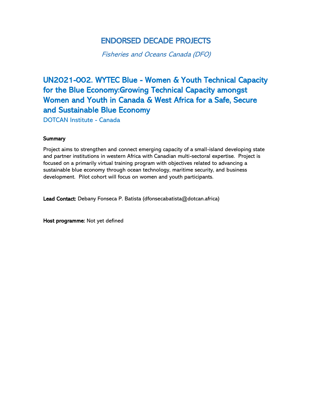# ENDORSED DECADE PROJECTS

Fisheries and Oceans Canada (DFO)

# <span id="page-58-0"></span>UN2021-002. WYTEC Blue - Women & Youth Technical Capacity for the Blue Economy:Growing Technical Capacity amongst Women and Youth in Canada & West Africa for a Safe, Secure and Sustainable Blue Economy

DOTCAN Institute - Canada

#### **Summary**

Project aims to strengthen and connect emerging capacity of a small-island developing state and partner institutions in western Africa with Canadian multi-sectoral expertise. Project is focused on a primarily virtual training program with objectives related to advancing a sustainable blue economy through ocean technology, maritime security, and business development. Pilot cohort will focus on women and youth participants.

Lead Contact: Debany Fonseca P. Batista (dfonsecabatista@dotcan.africa)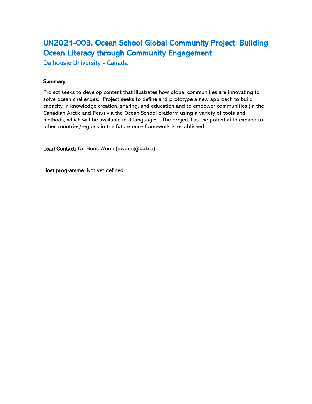# <span id="page-59-0"></span>UN2021-003. Ocean School Global Community Project: Building Ocean Literacy through Community Engagement

Dalhousie University - Canada

#### **Summary**

Project seeks to develop content that illustrates how global communities are innovating to solve ocean challenges. Project seeks to define and prototype a new approach to build capacity in knowledge creation, sharing, and education and to empower communities (in the Canadian Arctic and Peru) via the Ocean School platform using a variety of tools and methods, which will be available in 4 languages. The project has the potential to expand to other countries/regions in the future once framework is established.

Lead Contact: Dr. Boris Worm (bworm@dal.ca)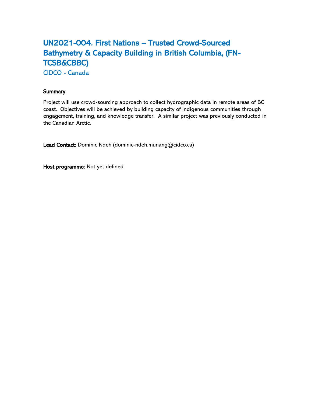# <span id="page-60-0"></span>UN2021-004. First Nations – Trusted Crowd-Sourced Bathymetry & Capacity Building in British Columbia, (FN-TCSB&CBBC)

CIDCO - Canada

#### **Summary**

Project will use crowd-sourcing approach to collect hydrographic data in remote areas of BC coast. Objectives will be achieved by building capacity of Indigenous communities through engagement, training, and knowledge transfer. A similar project was previously conducted in the Canadian Arctic.

Lead Contact: Dominic Ndeh (dominic-ndeh.munang@cidco.ca)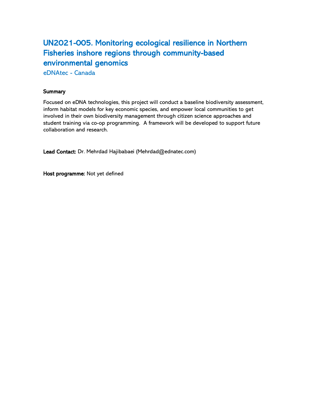# <span id="page-61-0"></span>UN2021-005. Monitoring ecological resilience in Northern Fisheries inshore regions through community-based environmental genomics

eDNAtec - Canada

#### **Summary**

Focused on eDNA technologies, this project will conduct a baseline biodiversity assessment, inform habitat models for key economic species, and empower local communities to get involved in their own biodiversity management through citizen science approaches and student training via co-op programming. A framework will be developed to support future collaboration and research.

Lead Contact: Dr. Mehrdad Hajibabaei (Mehrdad@ednatec.com)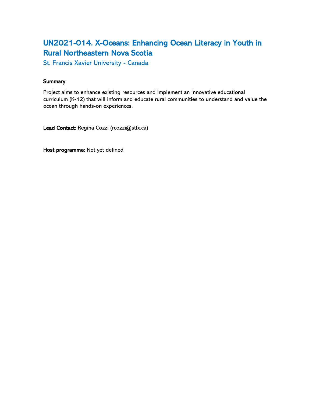# <span id="page-62-0"></span>UN2021-014. X-Oceans: Enhancing Ocean Literacy in Youth in Rural Northeastern Nova Scotia

St. Francis Xavier University - Canada

#### **Summary**

Project aims to enhance existing resources and implement an innovative educational curriculum (K-12) that will inform and educate rural communities to understand and value the ocean through hands-on experiences.

Lead Contact: Regina Cozzi (rcozzi@stfx.ca)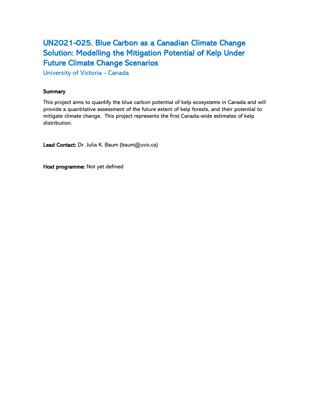# <span id="page-63-0"></span>UN2021-025. Blue Carbon as a Canadian Climate Change Solution: Modelling the Mitigation Potential of Kelp Under Future Climate Change Scenarios

University of Victoria - Canada

#### **Summary**

This project aims to quantify the blue carbon potential of kelp ecosystems in Canada and will provide a quantitative assessment of the future extent of kelp forests, and their potential to mitigate climate change. This project represents the first Canada-wide estimates of kelp distribution.

Lead Contact: Dr. Julia K. Baum (baum@uvic.ca)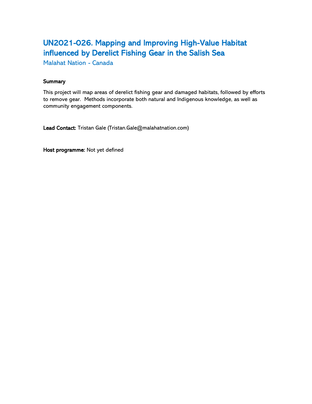# <span id="page-64-0"></span>UN2021-026. Mapping and Improving High-Value Habitat influenced by Derelict Fishing Gear in the Salish Sea

Malahat Nation - Canada

#### **Summary**

This project will map areas of derelict fishing gear and damaged habitats, followed by efforts to remove gear. Methods incorporate both natural and Indigenous knowledge, as well as community engagement components.

Lead Contact: Tristan Gale (Tristan.Gale@malahatnation.com)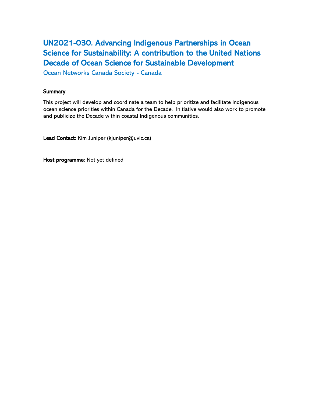# <span id="page-65-0"></span>UN2021-030. Advancing Indigenous Partnerships in Ocean Science for Sustainability: A contribution to the United Nations Decade of Ocean Science for Sustainable Development

Ocean Networks Canada Society - Canada

#### **Summary**

This project will develop and coordinate a team to help prioritize and facilitate Indigenous ocean science priorities within Canada for the Decade. Initiative would also work to promote and publicize the Decade within coastal Indigenous communities.

Lead Contact: Kim Juniper (kjuniper@uvic.ca)